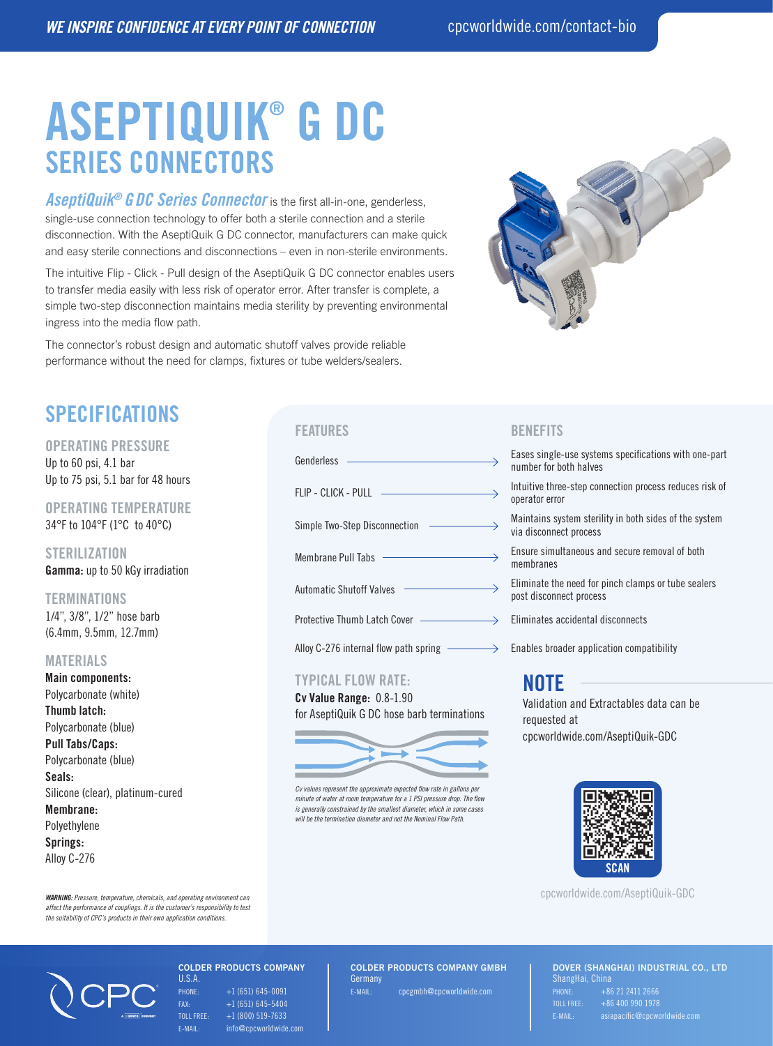# ASEPTIQUIK® G DC SERIES CONNECTORS

*AseptiQuik® G DC Series Connector* is the first all-in-one, genderless, single-use connection technology to offer both a sterile connection and a sterile disconnection. With the AseptiQuik G DC connector, manufacturers can make quick and easy sterile connections and disconnections – even in non-sterile environments.

The intuitive Flip - Click - Pull design of the AseptiQuik G DC connector enables users to transfer media easily with less risk of operator error. After transfer is complete, a simple two-step disconnection maintains media sterility by preventing environmental ingress into the media flow path.

The connector's robust design and automatic shutoff valves provide reliable performance without the need for clamps, fixtures or tube welders/sealers.



# SPECIFICATIONS

#### OPERATING PRESSURE

Up to 60 psi, 4.1 bar Up to 75 psi, 5.1 bar for 48 hours

OPERATING TEMPERATURE 34°F to 104°F (1°C to 40°C)

**STERILIZATION** Gamma: up to 50 kGy irradiation

### **TERMINATIONS**

1/4", 3/8", 1/2" hose barb (6.4mm, 9.5mm, 12.7mm)

#### MATERIALS

Main components: Polycarbonate (white) Thumb latch: Polycarbonate (blue) Pull Tabs/Caps: Polycarbonate (blue) Seals: Silicone (clear), platinum-cured Membrane: Polyethylene Springs: Alloy C-276



#### TYPICAL FLOW RATE:

Cv Value Range: 0.8-1.90 for AseptiQuik G DC hose barb terminations



*Cv values represent the approximate expected flow rate in gallons per minute of water at room temperature for a 1 PSI pressure drop. The flow is generally constrained by the smallest diameter, which in some cases will be the termination diameter and not the Nominal Flow Path.*

## FEATURES BENEFITS

number for both halves

operator error

Simple Two-Step Disconnection  $\longrightarrow$  Maintains system sterility in both sides of the system via disconnect process

membranes

post disconnect process

## NOTE

Validation and Extractables data can be requested at cpcworldwide.com/AseptiQuik-GDC



cpcworldwide.com/AseptiQuik-GDC

*WARNING: Pressure, temperature, chemicals, and operating environment can affect the performance of couplings. It is the customer's responsibility to test the suitability of CPC's products in their own application conditions.*



#### COLDER PRODUCTS COMPANY U.S.A.

 $PHONE: +1 (651) 645-0091$ FAX: +1 (651) 645-5404 TOLL FREE:  $+1$  (800) 519-7633 E-MAIL: info@cpcworldwide.com COLDER PRODUCTS COMPANY GMBH Germany E-MAIL: cpcgmbh@cpcworldwide.com

DOVER (SHANGHAI) INDUSTRIAL CO., LTD ShangHai, China  $T$ OLL FREE:  $+86,400,990,1978$ E-MAIL: asiapacific@cpcworldwide.com